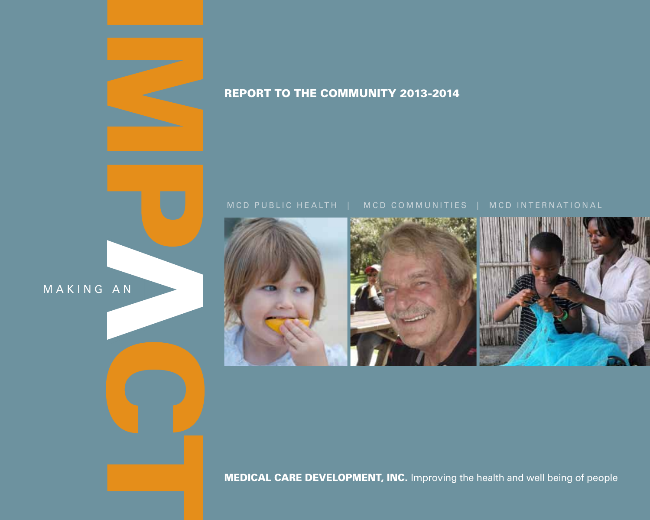



#### **MEDICAL CARE DEVELOPMENT, INC.** Improving the health and well being of people

MAKING AN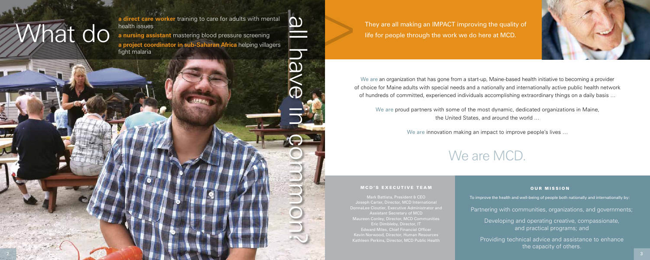We are an organization that has gone from a start-up, Maine-based health initiative to becoming a provider of choice for Maine adults with special needs and a nationally and internationally active public health network of hundreds of committed, experienced individuals accomplishing extraordinary things on a daily basis …

#### MCD'S EXECUTIVE TEAM

We are proud partners with some of the most dynamic, dedicated organizations in Maine, the United States, and around the world …

We are innovation making an impact to improve people's lives ...

## We are MCD.

#### **OUR MISSION**

**a direct care worker** training to care for adults with mental health issues

> Mark Battista, President & CEO Joseph Carter, Director, MCD International DonnaLee Cloutier, Executive Administrator and Assistant Secretary of MCD Maureen Conley, Director, MCD Communities Eric Dimbleby, Director, IT **Edward Miles, Chief Financial Officer** Kevin Norwood, Director, Human Resources Kathleen Perkins, Director, MCD Public Health



To improve the health and well-being of people both nationally and internationally by:

Partnering with communities, organizations, and governments;

Developing and operating creative, compassionate, and practical programs; and

Providing technical advice and assistance to enhance the capacity of others.

They are all making an IMPACT improving the quality of life for people through the work we do here at MCD.

**a nursing assistant** mastering blood pressure screening **a project coordinator in sub-Saharan Africa** helping villagers fight malaria

What do

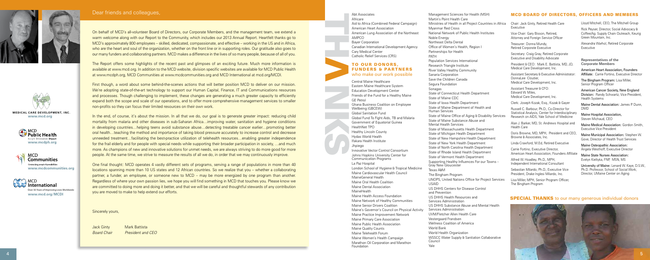Th

# anks and the control of **TO OUR DONORS, FUNDERS & PARTNE** who make our work possi

On behalf of MCD's all-volunteer Board of Directors, our Corporate Members, and the management team, we extend a warm welcome along with our Report to the Community, which includes our 2013 Annual Report. Heartfelt thanks go to MCD's approximately 800 employees – skilled, dedicated, compassionate, and effective – working in the US and in Africa, who are the heart and soul of the organization, whether on the front line or in supporting roles. Our gratitude also goes to our many funders and collaborating partners. MCD makes a difference in the lives of so many people, because of all of you.

The Report offers some highlights of the recent past and glimpses of an exciting future. Much more information is available at www.mcd.org. In addition to the MCD website, division specific websites are available for MCD Public Health at www.mcdph.org, MCD Communities at www.mcdcommunities.org and MCD International at mcd.org/MCDI.

First though, a word about some behind-the-scenes actions that will better position MCD to deliver on our mission. We're adopting state-of-the-art technology to support our Human Capital, Finance, IT and Communications resources and processes. Though challenging to implement, these changes are generating a much greater capacity to efficiently expand both the scope and scale of our operations, and to offer more comprehensive management services to smaller non-profits so they can focus their limited resources on their own work.

In the end, of course, it's about the mission. In all that we do, our goal is to generate greater impact: reducing child mortality from malaria and other diseases in sub-Saharan Africa…improving water, sanitation and hygiene conditions in developing countries…helping teens avoid substance abuse…detecting treatable cancer earlier…promoting better oral health…teaching the method and importance of taking blood pressure accurately to increase control and decrease unneeded treatment…facilitating the best-practice utilization of telehealth resources…enabling greater independence for the frail elderly and for people with special needs while supporting their broader participation in society, …and much more. As champions of new and innovative solutions for unmet needs, we are always striving to do more good for more people. At the same time, we strive to measure the results of all we do, in order that we may continuously improve.

One final thought: MCD operates 4 vastly different sets of programs, serving a range of populations in more than 40 locations spanning more than 10 US states and 12 African countries. So we realize that you – whether a collaborating partner, a funder, an employee, or someone new to MCD – may be more energized by one program than another. Regardless of where your own passion lies, we hope you will find something in MCD that touches you. Please know we are committed to doing more and doing it better, and that we will be careful and thoughtful stewards of any contribution you are moved to make to help extend our efforts.

Sincerely yours,

Jack Ginty Mark Battista

Board Chair President and CEO



Treasurer: Donna Mundy, itive

etired Corporate Advocate

President Battista, MD, JD, nent, Inc.

ecutive Administrator: ent, Inc.

Assistant Treasurer & CFO: ent, Inc.

sg., Kozak & Gayer

Russell Co-Director for ter for Interdisciplinar Research on Alecticine School of Medicine

Andrews Hospital and

Abt Associates Africare Aid to Africa (Combined Federal Car American Heart Association American Lung Association of the N AMPCO Bayer Corporation Canadian International Development Cary Medical Center Catholic Relief Services (CRS)

> H, President and CEO, Browne & Associates, Inc.

Retired Executive

Director, ation, Founders Affiliate

 $MPH$ nal Consultant

Secutive Vice Milardo, Inc.

Program Officer,

Central Maine Healthcare Eastern Maine Healthcare System Education Development Center Friends of the Fund for a Healthy Ma GE Petrol Ghana Business Coalition on Emplo Wellbeing (GBCEW) Global Sanitation Fund Global Fund To Fight Aids, TB and M Government of Equatorial Guinea HealthNet TPO Healthy Lincoln County Hydas World Health Ifakara Health Institute Jhpiego Innovative Vector Control Consortium Johns Hopkins University Center for Communication Programs La Paz Hospital London School of Hygiene & Tropical Maine Cardiovascular Health Counc MaineGeneral Health Maine Oral Health Coalition Maine Dental Association MaineHealth Maine Health Access Foundation Maine Network of Healthy Commun Maine Senior Drivers Coalition Maine's Governor's Council on Phy-Maine Practice Improvement Network Maine Primary Care Association

Maine Public Health Association Maine Quality Counts Maine Telehealth Forum Maine Women's Health Campaign Marathon Oil Corporation and Marat Foundation

|                       | Management Sciences for Health (MSH)                                                                                        | <b>MCD BOARD O</b>                                                       |
|-----------------------|-----------------------------------------------------------------------------------------------------------------------------|--------------------------------------------------------------------------|
|                       | Martin's Point Health Care                                                                                                  |                                                                          |
| mpaign)               | Ministries of Health in all Project Countries in Africa<br>Myanmar Red Cross                                                | Chair: Jack Ginty, Retire<br>Executive                                   |
| lortheast             | National Network of Public Health Institutes<br>Noble Energy                                                                | Vice Chair: Gary Bisson,<br>Attorney and Foreign Se                      |
| : Agency              | Northeast Delta Dental<br>Office of Women's Health, Region I                                                                | Treasurer: Donna Mund<br>Retired Corporate Execu                         |
|                       | Partnerships for Health<br>PATH                                                                                             | Secretary: Craig Gray, Ro<br><b>Executive and Disability</b>             |
|                       | Population Services International                                                                                           |                                                                          |
| <b>RS</b>             | Research Triangle Institute<br><b>River Valley Healthy Community</b>                                                        | President & CEO: Mark<br>Medical Care Developm                           |
| ible                  | Sanaria Corporation<br>Save the Children Canada<br>Segura Foundation                                                        | Assistant Secretary & Exe<br>DonnaLee Cloutier,<br>Medical Care Developm |
| aine                  | Sonagas<br>State of Connecticut Health Department<br>State of Maine CDC                                                     | Assistant Treasurer & CF<br>Edward W. Miles.<br>Medical Care Developm    |
|                       | State of Iowa Health Department                                                                                             | Clerk: Joseph Kozak, Es                                                  |
| yee                   | State of Maine Department of Health and                                                                                     | Russell C. Barbour, Ph.D                                                 |
| ⁄lalaria              | Human Services<br>State of Maine Office of Aging & Disability Services                                                      | Statistical Analysis, Cen<br>Research on AIDS, Yale                      |
|                       | State of Maine Substance Abuse and<br><b>Mental Health Services</b>                                                         | Alan J. Barker, MD, St. A<br><b>Health Care</b>                          |
|                       | State of Massachusetts Health Department<br>State of Michigan Health Department<br>State of New Hampshire Health Department | Doris Browne, MD, MPH<br>Browne & Associates, In                         |
|                       | State of New York Health Department                                                                                         | Linda Crawford, M.Ed, F                                                  |
|                       | State of North Carolina Health Department                                                                                   | Carrie Fortino, Executive                                                |
| m<br>r                | State of Rhode Island Health Department<br>State of Vermont Health Department                                               | American Heart Associa                                                   |
|                       | Supporting Healthy Influences For our Towns -<br><b>Gray New Gloucester</b>                                                 | Alfred W. Hoadley, Ph.D.<br>Independent Internation                      |
| al Medicine<br>iΙ     | Texas A&M<br>The Bingham Program                                                                                            | Sebastian Milardo, Ph.D<br>President, Drake Inglesi                      |
|                       | UNOPS, United Nations Office for Project Services<br><b>USAID</b><br>US DHHS Centers for Disease Control                    | Lisa Miller, MPH, Senior<br>The Bingham Program                          |
|                       | and Prevention<br>US DHHS Health Resources and                                                                              | <b>SPECIAL THAN</b>                                                      |
| hities                | Services Administration                                                                                                     |                                                                          |
| sical Activity<br>prk | US DHHS Substance Abuse and Mental Health<br>Services Administration<br>UVM/Fletcher Allen Health Care                      |                                                                          |
|                       | Vestergaard Frandsen                                                                                                        |                                                                          |
|                       | <b>Wellness Coalition of America</b>                                                                                        |                                                                          |
|                       | World Bank                                                                                                                  |                                                                          |
|                       | World Health Organization                                                                                                   |                                                                          |
| hon                   | <b>WSSCC Water Supply &amp; Sanitation Collaborative</b><br>Council                                                         |                                                                          |
|                       | Ale                                                                                                                         |                                                                          |

### Dear friends and colleagues, **Manufactures and Sciences for Health (MSH)** Management Sciences for Health (MSH) **MCD BOARD OF DIRECTORS, OFFICERS AND MEMBERS**

ed Health Care

Retired. **Attack** Officer Lloyd Mitchell, CEO, The Mitchell Group

Rick Peyser, Director, Social Advocacy & Coffee/Ag. Supply Chain Outreach, Keurig Green Mountain, Inc.

Alexandra Warhol, Retired Corporate Executive

**Representatives of the Corporate Members**

American Heart Association, Founders Affiliate: Carrie Fortino, Executive Director

The Bingham Program: Lisa Miller, Senior Program Officer

American Cancer Society, New England Division: Randy Schwartz, Vice President, Health Systems

Maine Dental Association: James P. Dunn, DMD

Maine Hospital Association, Steven Michaud, CEO

Maine Medical Association: Gordon Smith, Executive Vice President

Maine Municipal Association: Stephen W. Gove, Director of Health Trust Services

Maine Osteopathic Association: Angela Westhoff, Executive Director

Maine State Nurses Association: Evelyn Kieltyka, FNP, MSN, MS

University of Maine: Lenard W. Kaye, D.S.W., Ph.D. Professor, School of Social Work; Director, UMaine Center on Aging

#### **NKS** to our many generous individual donors









**www.mcd.org/MCDI**



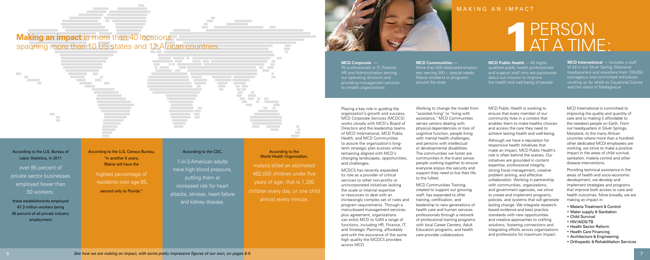According to the U.S. Bureau of Labor Statistics, in 2011

over 95 percent of private sector businesses employed fewer than 50 workers;

highest percentage of residents over age 65, second only to Florida."

these establishments employed 47.3 million workers being 45 percent of all private industry employment

#### According to the World Health Organization,

According to the U.S. Census Bureau, "in another 6 years, Maine will have the

#### According to the CDC,

**College** 

**College** 

**Controller Contractor** Contractor

**College** 

 $\sim$  $\mathcal{L}^{\text{max}}$ 

1-in-3 American adults have high blood pressure, putting them at increased risk for heart attacks, strokes, heart failure and kidney disease.

malaria killed an estimated 482,000 children under five years of age; that is 1,300 children every day, or one child almost every minute.







Playing a key role in guiding the organization's growth and success, MCD Corporate Services (MCDCS) works closely with MCD's Board of Directors and the leadership teams of MCD International, MCD Public Health, and MCD Communities to assure the organization's longterm strategic plan evolves while remaining aligned with MCD's changing landscapes, opportunities, and challenges.

MCDCS has recently expanded its role as a provider of critical services to other non-profits or unincorporated initiatives lacking the scale or internal expertise or resources to deal with an increasingly complex set of rules and program requirements. Through a menu-based management-servicesplus agreement, organizations can enlist MCD to fulfill a range of functions, including HR, Finance, IT, and Strategic Planning, affordably and with the assurance of the same high quality the MCDCS provides across MCD.

### MAKING AN IMPACT

## P AT A TIME:

**MCD Corporate** —

15 professionals in IT, Finance, HR and Administration serving our operating divisions and providing management services to smaller organizations

> Working to change the model from "assisted living" to "living with assistance," MCD Communities serves seniors dealing with physical dependencies or loss of cognitive function, people living with mental health challenges, and persons with intellectual or developmental disabilities. The communities we foster are communities in the truest sense: people working together to ensure everyone enjoys the security and support they need to live their life to the fullest.

MCD Communities Training, created to support our growing staff, has expanded to offer training, certification, and leadership to new generations of health care and human services professionals through a network of professional training programs with local Career Centers, Adult Education programs, and health care provider collaborators.

#### **MCD Communities** —

More than 500 dedicated employees serving 300+ special needs Maine residents in programs around the state

> MCD Public Health is working to ensure that every member of our community lives in a context that enables them to make healthy choices and access the care they need to achieve lasting health and well-being,

Although we have a reputation for responsive health initiatives that make an impact, MCD Public Health's role is often behind the scenes. Our initiatives are grounded in content expertise, professional integrity, strong fiscal management, creative problem solving, and effective collaboration. Working in partnership with communities, organizations, and government agencies, we strive to create and implement programs, policies, and systems that will generate lasting change. We integrate researchbased evidence and best practice standards with new opportunities and creative approaches to crafting solutions, fostering connections and integrating efforts across organizations and professions for maximum impact.

**MCD Public Health** — 40 highly qualified public health professionals and support staff who are passionate about our mission to improve the health and well-being of people

> MCD International is committed to improving the quality and quantity of care and to making it affordable to the neediest people on Earth. From our headquarters in Silver Springs, Maryland, to the many African countries where more than a hundred other dedicated MCDI employees are working, we strive to make a positive impact in the areas of child survival, sanitation, malaria control and other disease interventions.

Providing technical assistance in the areas of health and socio-economic development, we develop and implement strategies and programs that improve both access to care and health outcomes. More broadly, we are making an impact in:

- Malaria Treatment & Control
- Water supply & Sanitation
- Child Survival
- HIV/AIDS/TB
- Health Sector Reform
- Health Care Financing
- Architecture & Engineering
- Orthopedic & Rehabilitation Services

**MCD International** — includes a staff of 24 in our Silver Spring, Maryland headquarters and anywhere from 100-250 courageous and committed individuals working as far afield as Equatorial Guinea and the island of Madagascar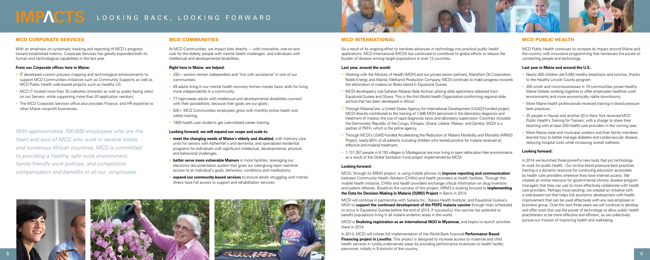#### MCD Communities

At MCD Communities, we impact lives directly — with innovative, one-on-one care for the elderly, people with mental health challenges, and individuals with intellectual and developmental disabilities.

#### **Right here in Maine, we helped:**

- 250+ seniors remain independent and "live with assistance" in one of our communities;
- 49 adults living in our mental health recovery homes master basic skills for living more independently in a community;
- 77 high-needs adults with intellectual and developmental disabilities connect with their possibilities, because their goals are our goals;
- 500+ MCD Communities employees grow with monthly online health and safety training;
- 1900 health care students get care-related career training.

#### **Looking forward, we will expand our scope and scale to**

- • **meet the changing needs of Maine's elderly and disabled,** with memory care units for seniors with Alzheimer's and dementia, and specialized residential programs for individuals with significant intellectual, developmental, physical, and behavioral challenges;
- **better serve more vulnerable Mainers** in more facilities, leveraging our electronic documentation system that gives our care-giving team real-time access to an individual's goals, behaviors, conditions and medications;
- **expand our community-based services** to ensure adults struggling with mental illness have full access to support and rehabilitation services.





#### **MCD INTERNATIONAL**

- Nearly 400 children ate 5.945 healthy breakfasts and lunches, thanks to the Healthy Lincoln County program;
- 200 small- and micro-businesses in 19 communities joined Healthy Maine Streets working together to offer employees healthier work environments and more economically viable downtowns;
- More Maine health professionals received training in blood pressure best practices;
- 25 people in Hawaii and another 20 in New York received MCD Public Health's Training for Trainers, with a charge to share their teaching with at least 200 health care providers in the coming year;
- More Maine state and municipal workers and their family members learned how to better manage diabetes and cardiovascular disease, reducing hospital visits while increasing overall wellness.

#### MCD Public Health

MCD Public Health continues to increase its impact around Maine and the country, with innovative programming that harnesses the power of connecting people and technology.

#### **Last year in Maine and around the U.S.:**

• MCDI developed a sub-Saharan Malaria Slide Archive utilizing slide specimens obtained from Equatorial Guinea and Ghana. This is the first World Health Organization-conforming regional slide

#### **Looking forward:**

In 2014 we launched three powerful new tools that put technology to work for public health. Our on-line blood pressure best practices training is a dynamic resource for continuing education accessible by health care providers wherever they have internet access. We created an online resource for governmental chronic disease program managers that they can use to more effectively collaborate with health care providers. Perhaps most exciting, we created an initiative with a web-based tool that helps link economic development with health improvement that can be used effectively with any size employer or business group. Over the next three years we will continue to develop and offer tools that use the power of technology to allow public health practitioners to be more effective and efficient, as we collectively pursue our mission of improving health and well-being.

As a result of its ongoing effort to translate advances in technology into practical public health applications, MCD International (MCDI) has continued to contribute to global efforts to reduce the burden of disease among target populations in over 12 countries.

- IT developed custom process mapping and technological enhancements to support MCD Communities initiatives such as Community Supports as well as MCD Public Health web-based projects such as Healthy US;
- MCD IT hosted more than 35 websites (intranets as well as public-facing sites) on our Servers, while supporting more than 20 application vendors;
- The MCD Corporate Services office also provides Finance, and HR expertise to other Maine nonprofit businesses.

#### **Last year, around the world:**

• Working with the Ministry of Health (MOH) and our private sector partners, Marathon Oil Corporation, Noble Energy and Atlantic Methanol Production Company, MCDI continues to make progress towards

• Through MalariaCare, a United States Agency for International Development (USAID) funded project, MCDI directly contributed to the training of 1,646 MOH personnel in the laboratory diagnosis and treatment of malaria, the use of rapid diagnostic tests and laboratory supervision. Countries included the Democratic Republic of the Congo, Ethiopia, Ghana, Liberia, Malawi, and Zambia. MCDI is a

- the elimination of malaria on Bioko Island in Equatorial Guinea.
- archive that has been developed in Africa!
- partner of PATH, which is the prime agency.
- effective anti-malarial treatment.
- as a result of the Global Sanitation Fund project implemented by MCDI.

• Through MCDI's USAID-funded Accelerating the Reduction of Malaria Morbidity and Mortality (ARM3) Project, nearly 85% of all patients including children who tested positive for malaria received an

• 1,131,357 people in 8,193 villages in Madagascar are now living in open defecation free environments

#### **Looking forward:**

MCDI, through its ARM3 project, is using mobile phones to **improve reporting and communication**  between Community Health Workers (CHWs) and health providers at health facilities. Through this mobile health initiative, CHWs and health providers exchange critical information on drug inventory and patient referrals. Based on the success of this project, ARM3 is looking forward to **implementing the Data for Decision Making in Malaria (D2M2) Project** in Benin in 2014.

MCDI will continue in partnership with Sanaria Inc., Ifakara Health Institute, and Equatorial Guinea's MOH to **support the continued development of the PfSPZ malaria vaccine** through trials scheduled to occur in Equatorial Guinea before the end of 2014. If successful, the vaccine has potential to benefit populations living in all malaria endemic areas in the world.

MCDI is **finalizing registration as an international NGO in Myanmar,** and hopes to launch activities

there in 2014.

In 2014, MCDI will initiate full implementation of the World Bank financed **Performance Based Financing project in Lesotho.** This project is designed to increase access to maternal and child health services in rurally-underserved areas by providing performance incentives to health facility personnel, initially in 9 districts of the country.

### LOOKING BACK, LOOKING FORWARD

#### MCD Corporate Services

With an emphasis on systematic tracking and reporting of MCD's progress toward established metrics, Corporate Services has greatly expanded both its human and technological capabilities in the last year.

#### **From our Corporate offices here in Maine:**

With approximately 700-800 employees who are the heart and soul of MCD who work in several states and numerous African countries, MCD is committed to providing a healthy, safe work environment, family-friendly work policies, and competitive compensation and benefits to all our employees.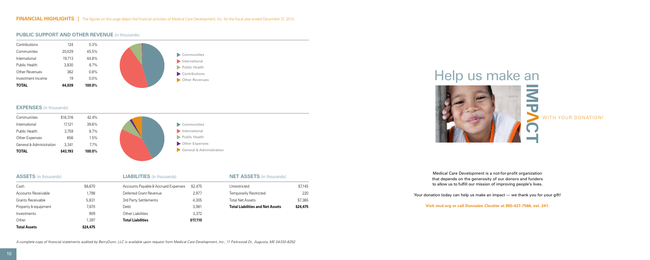

#### **PUBLIC SUPPORT AND OTHER REVENUE** (in thousands)

#### **EXPENSES** (in thousands)



#### **ASSETS** (in thousands)

| <b>LIABILITIES</b> (in thousands) |  |
|-----------------------------------|--|
|-----------------------------------|--|

| <b>Total Assets</b>      | \$24,475 |                                     |          |
|--------------------------|----------|-------------------------------------|----------|
| Other                    | 1.397    | <b>Total Liabilities</b>            | \$17,110 |
| Investments              | 909      | <b>Other Liabilities</b>            | 3,372    |
| Property & equipment     | 7.870    | Debt                                | 3,981    |
| <b>Grants Receivable</b> | 5.831    | 3rd Party Settlements               | 4.305    |
| Accounts Receivable      | 1.798    | Deferred Grant Revenue              | 2,977    |
| Cash                     | \$6.670  | Accounts Payable & Accrued Expenses | \$2,475  |
|                          |          |                                     |          |

#### **NET ASSETS** (in thousands)

| <b>Total Liabilities and Net Assets</b> | \$24,475 |
|-----------------------------------------|----------|
| <b>Total Net Assets</b>                 | \$7.365  |
| <b>Temporarily Restricted</b>           | 220      |
| Unrestricted                            | \$7.145  |
|                                         |          |

Medical Care Development is a not-for-profit organization that depends on the generosity of our donors and funders to allow us to fulfill our mission of improving people's lives.

Your donation today can help us make an impact - we thank you for your gift!

**Visit mcd.org or call Donnalee Cloutier at 800-427-7566, ext. 241.**

### Help us make an



WITH YOUR DONATION!